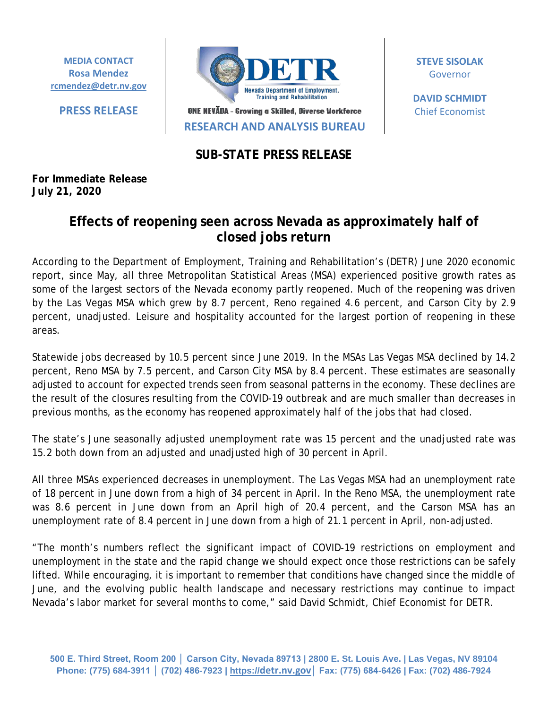**MEDIA CONTACT Rosa Mendez [rcmendez@detr.nv.gov](mailto:rcmendez@detr.nv.gov)**

**PRESS RELEASE**



ONE NEVĂDA - Growing a Skilled, Diverse Workforce **RESEARCH AND ANALYSIS BUREAU** **STEVE SISOLAK** Governor

**DAVID SCHMIDT** Chief Economist

## **SUB-STATE PRESS RELEASE**

**For Immediate Release July 21, 2020**

## **Effects of reopening seen across Nevada as approximately half of closed jobs return**

According to the Department of Employment, Training and Rehabilitation's (DETR) June 2020 economic report, since May, all three Metropolitan Statistical Areas (MSA) experienced positive growth rates as some of the largest sectors of the Nevada economy partly reopened. Much of the reopening was driven by the Las Vegas MSA which grew by 8.7 percent, Reno regained 4.6 percent, and Carson City by 2.9 percent, unadjusted. Leisure and hospitality accounted for the largest portion of reopening in these areas.

Statewide jobs decreased by 10.5 percent since June 2019. In the MSAs Las Vegas MSA declined by 14.2 percent, Reno MSA by 7.5 percent, and Carson City MSA by 8.4 percent. These estimates are seasonally adjusted to account for expected trends seen from seasonal patterns in the economy. These declines are the result of the closures resulting from the COVID-19 outbreak and are much smaller than decreases in previous months, as the economy has reopened approximately half of the jobs that had closed.

The state's June seasonally adjusted unemployment rate was 15 percent and the unadjusted rate was 15.2 both down from an adjusted and unadjusted high of 30 percent in April.

All three MSAs experienced decreases in unemployment. The Las Vegas MSA had an unemployment rate of 18 percent in June down from a high of 34 percent in April. In the Reno MSA, the unemployment rate was 8.6 percent in June down from an April high of 20.4 percent, and the Carson MSA has an unemployment rate of 8.4 percent in June down from a high of 21.1 percent in April, non-adjusted.

"The month's numbers reflect the significant impact of COVID-19 restrictions on employment and unemployment in the state and the rapid change we should expect once those restrictions can be safely lifted. While encouraging, it is important to remember that conditions have changed since the middle of June, and the evolving public health landscape and necessary restrictions may continue to impact Nevada's labor market for several months to come," said David Schmidt, Chief Economist for DETR.